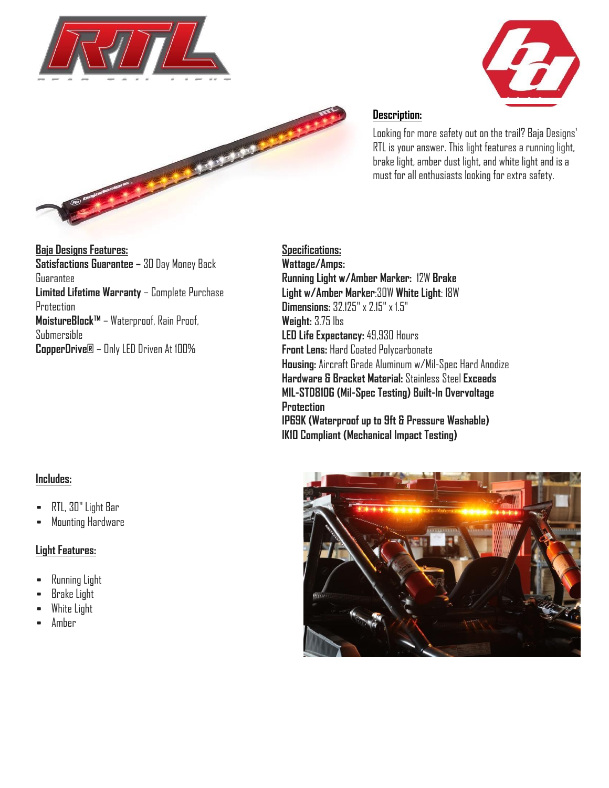





# **Description:**

Looking for more safety out on the trail? Baja Designs' RTL is your answer. This light features a running light, brake light, amber dust light, and white light and is a must for all enthusiasts looking for extra safety.

**Baja Designs Features: Satisfactions Guarantee –** 30 Day Money Back Guarantee **Limited Lifetime Warranty** – Complete Purchase **Protection MoistureBlock™** – Waterproof, Rain Proof, Submersible **CopperDrive®** – Only LED Driven At 100%

**Specifications: Wattage/Amps: Running Light w/Amber Marker:** 12W **Brake Light w/Amber Marker**:30W **White Light**: 18W **Dimensions:** 32.125" x 2.15" x 1.5" **Weight:** 3.75 lbs **LED Life Expectancy:** 49,930 Hours **Front Lens:** Hard Coated Polycarbonate **Housing:** Aircraft Grade Aluminum w/Mil-Spec Hard Anodize **Hardware & Bracket Material:** Stainless Steel **Exceeds MIL-STD810G (Mil-Spec Testing) Built-In Overvoltage Protection IP69K (Waterproof up to 9ft & Pressure Washable) IK10 Compliant (Mechanical Impact Testing)**

## **Includes:**

- RTL, 30" Light Bar
- Mounting Hardware

## **Light Features:**

- Running Light
- Brake Light
- White Light
- Amber

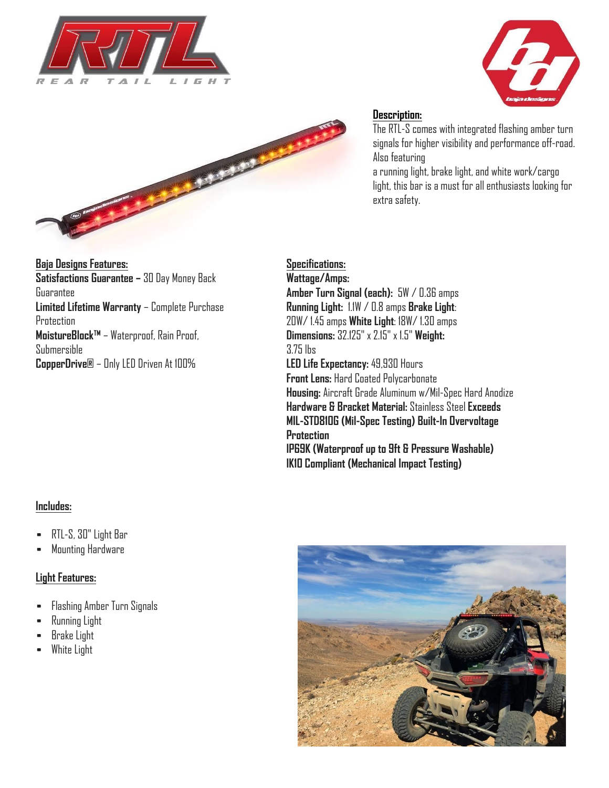





#### **Description:**

The RTL-S comes with integrated flashing amber turn signals for higher visibility and performance off-road. Also featuring

a running light, brake light, and white work/cargo light, this bar is a must for all enthusiasts looking for extra safety.

# **Baja Designs Features: Satisfactions Guarantee –** 30 Day Money Back Guarantee **Limited Lifetime Warranty** – Complete Purchase Protection **MoistureBlock™** – Waterproof, Rain Proof, Submersible **CopperDrive®** – Only LED Driven At 100%

# **Specifications:**

**Wattage/Amps: Amber Turn Signal (each):** 5W / 0.36 amps **Running Light:** 1.1W / 0.8 amps **Brake Light**: 20W/ 1.45 amps **White Light**: 18W/ 1.30 amps **Dimensions:** 32.125" x 2.15" x 1.5" **Weight:**  3.75 lbs **LED Life Expectancy:** 49,930 Hours **Front Lens:** Hard Coated Polycarbonate **Housing:** Aircraft Grade Aluminum w/Mil-Spec Hard Anodize **Hardware & Bracket Material:** Stainless Steel **Exceeds MIL-STD810G (Mil-Spec Testing) Built-In Overvoltage Protection IP69K (Waterproof up to 9ft & Pressure Washable) IK10 Compliant (Mechanical Impact Testing)**

## **Includes:**

- RTL-S, 30" Light Bar
- Mounting Hardware

#### **Light Features:**

- Flashing Amber Turn Signals
- Running Light
- Brake Light
- White Light

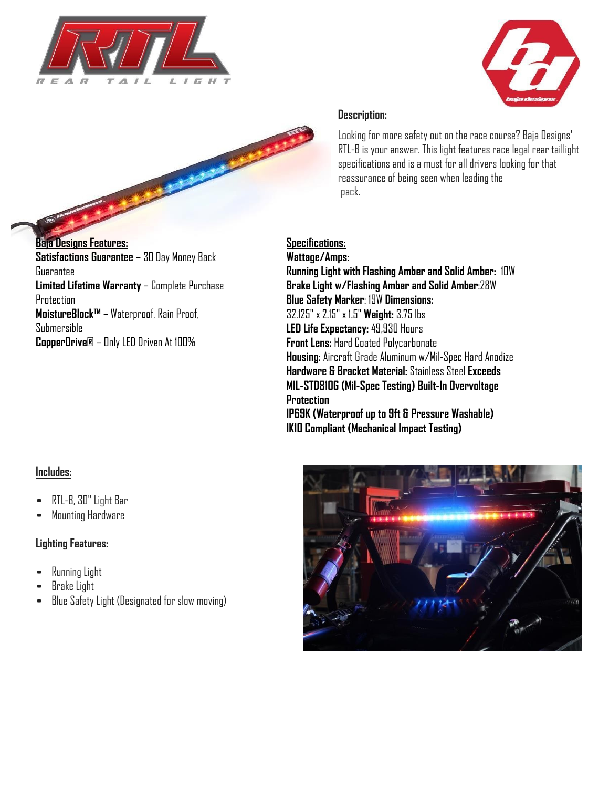





**Baja Designs Features: Satisfactions Guarantee –** 30 Day Money Back Guarantee **Limited Lifetime Warranty** – Complete Purchase Protection **MoistureBlock™** – Waterproof, Rain Proof, Submersible **CopperDrive®** – Only LED Driven At 100%

### **Description:**

Looking for more safety out on the race course? Baja Designs' RTL-B is your answer. This light features race legal rear taillight specifications and is a must for all drivers looking for that reassurance of being seen when leading the pack.

# **Specifications:**

**Wattage/Amps: Running Light with Flashing Amber and Solid Amber:** 10W **Brake Light w/Flashing Amber and Solid Amber**:28W **Blue Safety Marker**: 19W **Dimensions:**  32.125" x 2.15" x 1.5" **Weight:** 3.75 lbs **LED Life Expectancy:** 49,930 Hours **Front Lens:** Hard Coated Polycarbonate **Housing:** Aircraft Grade Aluminum w/Mil-Spec Hard Anodize **Hardware & Bracket Material:** Stainless Steel **Exceeds MIL-STD810G (Mil-Spec Testing) Built-In Overvoltage Protection IP69K (Waterproof up to 9ft & Pressure Washable) IK10 Compliant (Mechanical Impact Testing)**

## **Includes:**

- RTL-B, 30" Light Bar
- Mounting Hardware

## **Lighting Features:**

- Running Light
- Brake Light
- Blue Safety Light (Designated for slow moving)

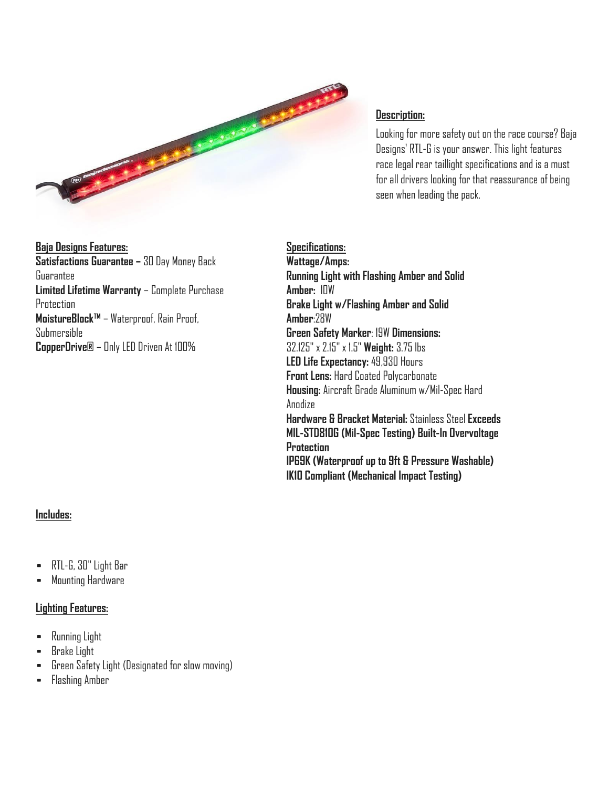

#### **Description:**

Looking for more safety out on the race course? Baja Designs' RTL-G is your answer. This light features race legal rear taillight specifications and is a must for all drivers looking for that reassurance of being seen when leading the pack.

**Baja Designs Features: Satisfactions Guarantee –** 30 Day Money Back Guarantee **Limited Lifetime Warranty** – Complete Purchase **Protection MoistureBlock™** – Waterproof, Rain Proof, Submersible **CopperDrive®** – Only LED Driven At 100%

**Specifications: Wattage/Amps: Running Light with Flashing Amber and Solid Amber:** 10W **Brake Light w/Flashing Amber and Solid Amber**:28W **Green Safety Marker**: 19W **Dimensions:**  32.125" x 2.15" x 1.5" **Weight:** 3.75 lbs **LED Life Expectancy:** 49,930 Hours **Front Lens:** Hard Coated Polycarbonate **Housing:** Aircraft Grade Aluminum w/Mil-Spec Hard Anodize **Hardware & Bracket Material:** Stainless Steel **Exceeds MIL-STD810G (Mil-Spec Testing) Built-In Overvoltage Protection IP69K (Waterproof up to 9ft & Pressure Washable) IK10 Compliant (Mechanical Impact Testing)**

#### **Includes:**

- RTL-G, 30" Light Bar
- Mounting Hardware

#### **Lighting Features:**

- Running Light
- Brake Light
- Green Safety Light (Designated for slow moving)
- Flashing Amber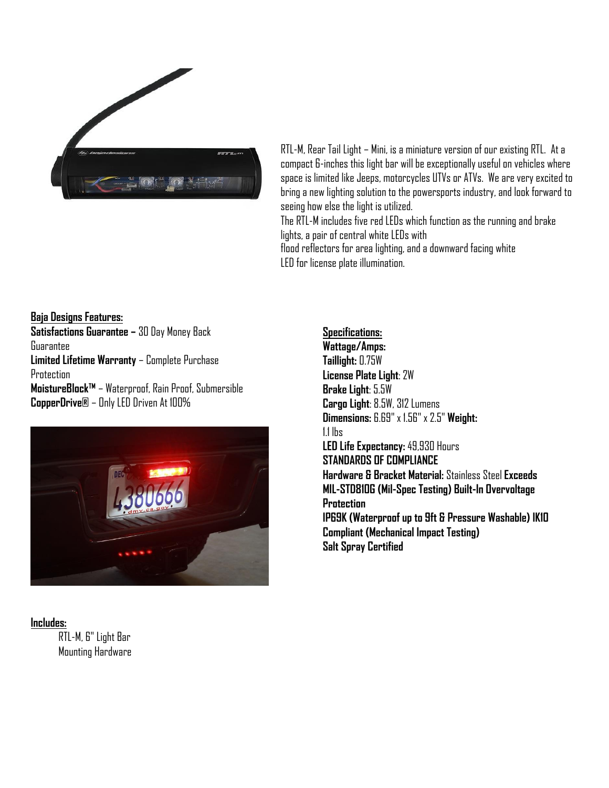

RTL-M, Rear Tail Light – Mini, is a miniature version of our existing RTL. At a compact 6-inches this light bar will be exceptionally useful on vehicles where space is limited like Jeeps, motorcycles UTVs or ATVs. We are very excited to bring a new lighting solution to the powersports industry, and look forward to seeing how else the light is utilized.

The RTL-M includes five red LEDs which function as the running and brake lights, a pair of central white LEDs with flood reflectors for area lighting, and a downward facing white LED for license plate illumination.

**Baja Designs Features: Satisfactions Guarantee –** 30 Day Money Back Guarantee **Limited Lifetime Warranty** – Complete Purchase **Protection MoistureBlock™** – Waterproof, Rain Proof, Submersible **CopperDrive®** – Only LED Driven At 100%



## **Includes:**

 RTL-M, 6" Light Bar Mounting Hardware **Specifications: Wattage/Amps: Taillight:** 0.75W **License Plate Light**: 2W **Brake Light**: 5.5W **Cargo Light**: 8.5W, 312 Lumens **Dimensions:** 6.69" x 1.56" x 2.5" **Weight:**  1.1 lbs **LED Life Expectancy:** 49,930 Hours **STANDARDS OF COMPLIANCE Hardware & Bracket Material:** Stainless Steel **Exceeds MIL-STD810G (Mil-Spec Testing) Built-In Overvoltage Protection IP69K (Waterproof up to 9ft & Pressure Washable) IK10 Compliant (Mechanical Impact Testing) Salt Spray Certified**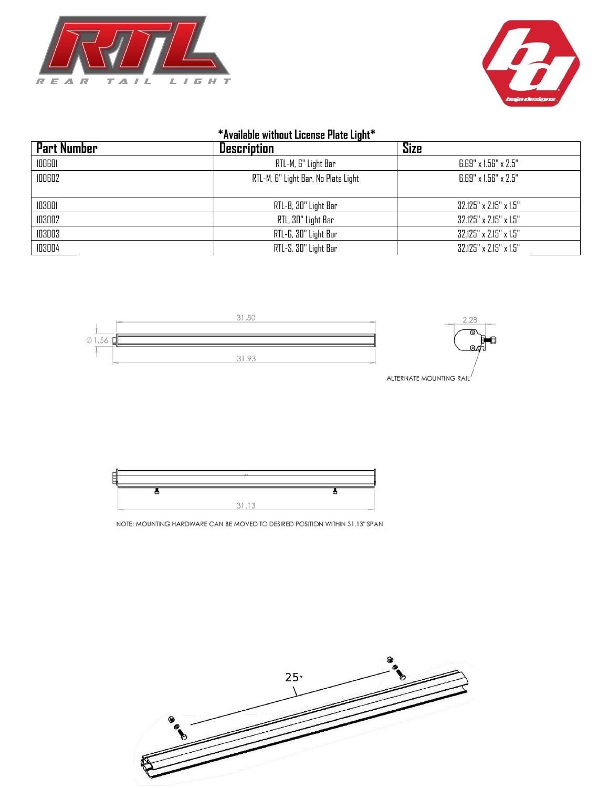



# **\*Available without License Plate Light\***

| Part Number | <b>Description</b>                  | <b>Size</b>                        |
|-------------|-------------------------------------|------------------------------------|
| 100601      | RTL-M, 6" Light Bar                 | $6.69" \times 1.56" \times 2.5"$   |
| 100602      | RTL-M, 6" Light Bar, No Plate Light | $6.69" \times 1.56" \times 2.5"$   |
| 103001      | RTL-B, 30" Light Bar                | $32.125" \times 2.15" \times 1.5"$ |
| 103002      | RTL, 30" Light Bar                  | 32.125" x 2.15" x 1.5"             |
| 103003      | RTL-G, 30" Light Bar                | 32.125" x 2.15" x 1.5"             |
| 103004      | RTL-S, 30" Light Bar                | 32.125" x 2.15" x 1.5"             |



ALTERNATE MOUNTING RAIL



NOTE: MOUNTING HARDWARE CAN BE MOVED TO DESIRED POSITION WITHIN 31.13" SPAN

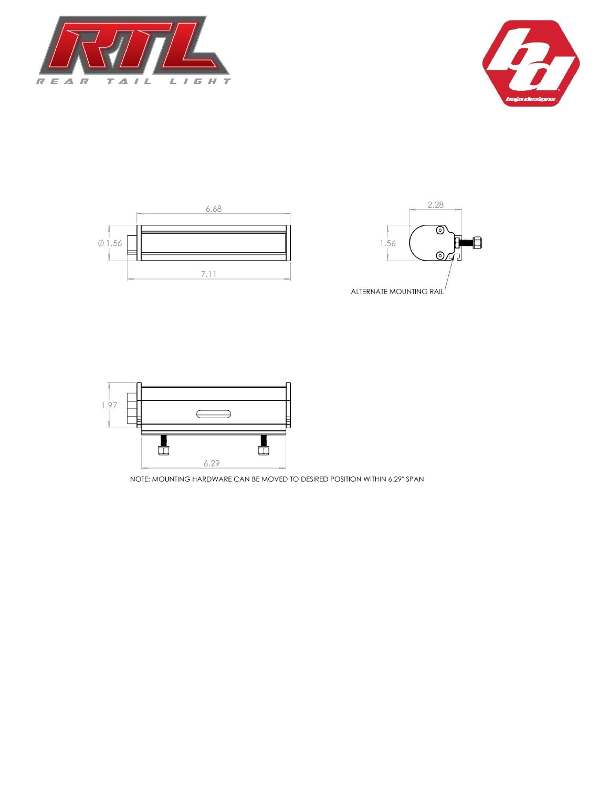









NOTE: MOUNTING HARDWARE CAN BE MOVED TO DESIRED POSITION WITHIN 6.29" SPAN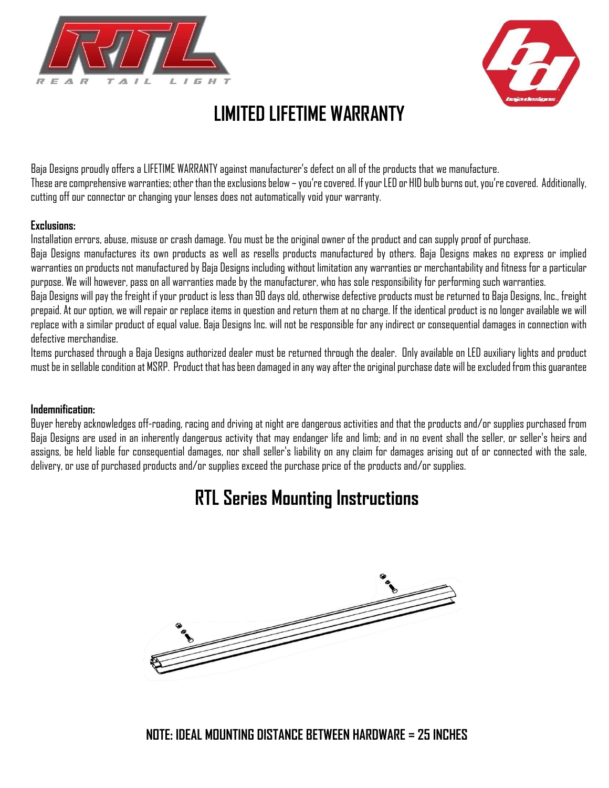



# **LIMITED LIFETIME WARRANTY**

Baja Designs proudly offers a LIFETIME WARRANTY against manufacturer's defect on all of the products that we manufacture. These are comprehensive warranties; other than the exclusions below – you're covered. If your LED or HID bulb burns out, you're covered. Additionally, cutting off our connector or changing your lenses does not automatically void your warranty.

#### **Exclusions:**

Installation errors, abuse, misuse or crash damage. You must be the original owner of the product and can supply proof of purchase.

Baja Designs manufactures its own products as well as resells products manufactured by others. Baja Designs makes no express or implied warranties on products not manufactured by Baja Designs including without limitation any warranties or merchantability and fitness for a particular purpose. We will however, pass on all warranties made by the manufacturer, who has sole responsibility for performing such warranties.

Baja Designs will pay the freight if your product is less than 90 days old, otherwise defective products must be returned to Baja Designs, Inc., freight prepaid. At our option, we will repair or replace items in question and return them at no charge. If the identical product is no longer available we will replace with a similar product of equal value. Baja Designs Inc. will not be responsible for any indirect or consequential damages in connection with defective merchandise.

Items purchased through a Baja Designs authorized dealer must be returned through the dealer. Only available on LED auxiliary lights and product must be in sellable condition at MSRP. Product that has been damaged in any way after the original purchase date will be excluded from this guarantee

## **Indemnification:**

Buyer hereby acknowledges off-roading, racing and driving at night are dangerous activities and that the products and/or supplies purchased from Baja Designs are used in an inherently dangerous activity that may endanger life and limb; and in no event shall the seller, or seller's heirs and assigns, be held liable for consequential damages, nor shall seller's liability on any claim for damages arising out of or connected with the sale, delivery, or use of purchased products and/or supplies exceed the purchase price of the products and/or supplies.

# **RTL Series Mounting Instructions**

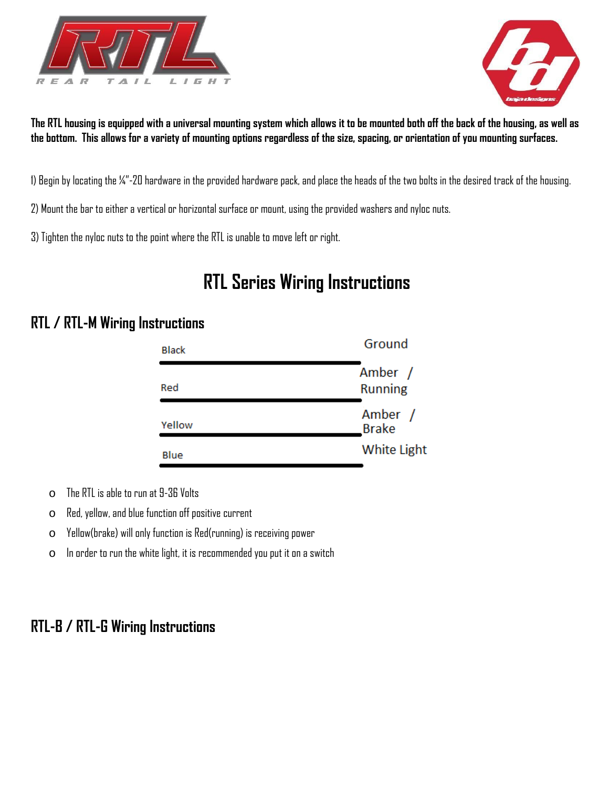



**The RTL housing is equipped with a universal mounting system which allows it to be mounted both off the back of the housing, as well as the bottom. This allows for a variety of mounting options regardless of the size, spacing, or orientation of you mounting surfaces.** 

1) Begin by locating the ¼"-20 hardware in the provided hardware pack, and place the heads of the two bolts in the desired track of the housing.

2) Mount the bar to either a vertical or horizontal surface or mount, using the provided washers and nyloc nuts.

3) Tighten the nyloc nuts to the point where the RTL is unable to move left or right.

# **RTL Series Wiring Instructions**

# **RTL / RTL-M Wiring Instructions**

| <b>Black</b> | Ground                    |
|--------------|---------------------------|
| Red          | Amber /<br><b>Running</b> |
| Yellow       | Amber /<br><b>Brake</b>   |
| Blue         | <b>White Light</b>        |

o The RTL is able to run at 9-36 Volts

o Red, yellow, and blue function off positive current

o Yellow(brake) will only function is Red(running) is receiving power

 $\circ$  In order to run the white light, it is recommended you put it on a switch

# **RTL-B / RTL-G Wiring Instructions**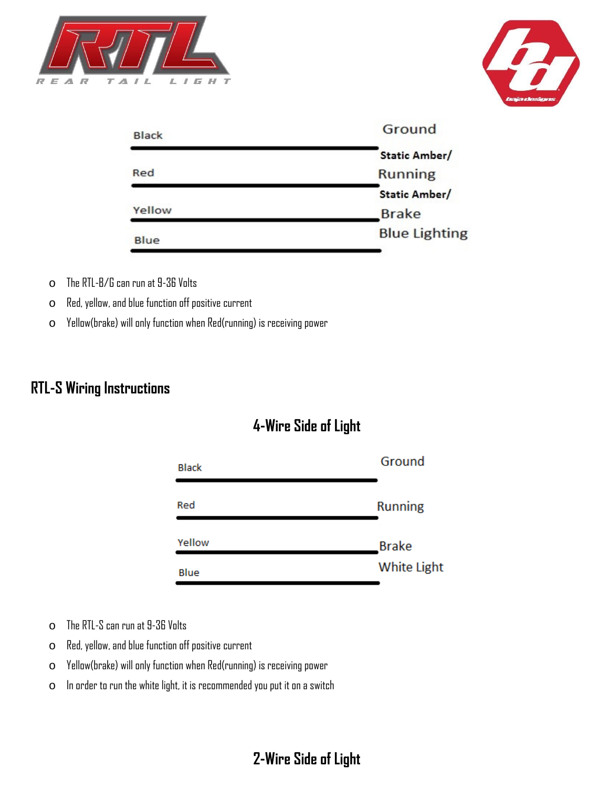



| Ground               |
|----------------------|
| Static Amber/        |
| <b>Running</b>       |
| Static Amber/        |
| <b>Brake</b>         |
| <b>Blue Lighting</b> |
|                      |

- o The RTL-B/G can run at 9-36 Volts
- o Red, yellow, and blue function off positive current
- o Yellow(brake) will only function when Red(running) is receiving power

# **RTL-S Wiring Instructions**

# **4-Wire Side of Light**

| Ground             |
|--------------------|
| <b>Running</b>     |
| <b>Brake</b>       |
| <b>White Light</b> |
|                    |

- o The RTL-S can run at 9-36 Volts
- o Red, yellow, and blue function off positive current
- o Yellow(brake) will only function when Red(running) is receiving power
- o In order to run the white light, it is recommended you put it on a switch

# **2-Wire Side of Light**